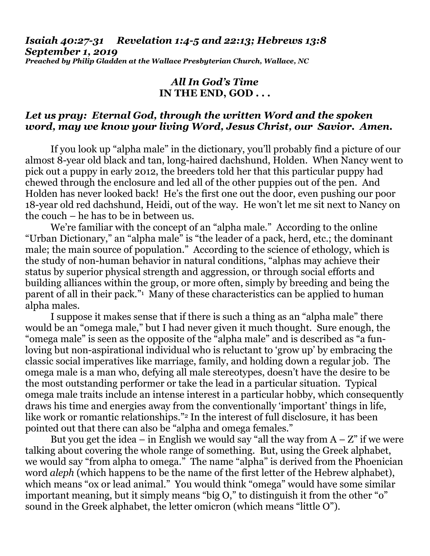*Isaiah 40:27-31 Revelation 1:4-5 and 22:13; Hebrews 13:8 September 1, 2019 Preached by Philip Gladden at the Wallace Presbyterian Church, Wallace, NC*

## *All In God's Time* **IN THE END, GOD . . .**

## *Let us pray: Eternal God, through the written Word and the spoken word, may we know your living Word, Jesus Christ, our Savior. Amen.*

If you look up "alpha male" in the dictionary, you'll probably find a picture of our almost 8-year old black and tan, long-haired dachshund, Holden. When Nancy went to pick out a puppy in early 2012, the breeders told her that this particular puppy had chewed through the enclosure and led all of the other puppies out of the pen. And Holden has never looked back! He's the first one out the door, even pushing our poor 18-year old red dachshund, Heidi, out of the way. He won't let me sit next to Nancy on the couch – he has to be in between us.

We're familiar with the concept of an "alpha male." According to the online "Urban Dictionary," an "alpha male" is "the leader of a pack, herd, etc.; the dominant male; the main source of population." According to the science of ethology, which is the study of non-human behavior in natural conditions, "alphas may achieve their status by superior physical strength and aggression, or through social efforts and building alliances within the group, or more often, simply by breeding and being the parent of all in their pack."<sup>1</sup> Many of these characteristics can be applied to human alpha males.

I suppose it makes sense that if there is such a thing as an "alpha male" there would be an "omega male," but I had never given it much thought. Sure enough, the "omega male" is seen as the opposite of the "alpha male" and is described as "a funloving but non-aspirational individual who is reluctant to 'grow up' by embracing the classic social imperatives like marriage, family, and holding down a regular job. The omega male is a man who, defying all male stereotypes, doesn't have the desire to be the most outstanding performer or take the lead in a particular situation. Typical omega male traits include an intense interest in a particular hobby, which consequently draws his time and energies away from the conventionally 'important' things in life, like work or romantic relationships."<sup>2</sup> In the interest of full disclosure, it has been pointed out that there can also be "alpha and omega females."

But you get the idea – in English we would say "all the way from  $A - Z$ " if we were talking about covering the whole range of something. But, using the Greek alphabet, we would say "from alpha to omega." The name "alpha" is derived from the Phoenician word *aleph* (which happens to be the name of the first letter of the Hebrew alphabet), which means "ox or lead animal." You would think "omega" would have some similar important meaning, but it simply means "big O," to distinguish it from the other "o" sound in the Greek alphabet, the letter omicron (which means "little O").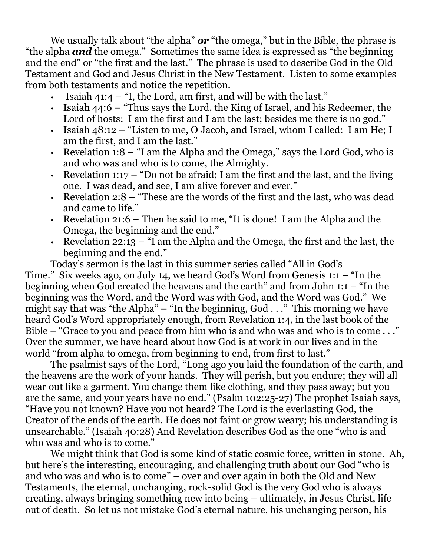We usually talk about "the alpha" *or* "the omega," but in the Bible, the phrase is "the alpha *and* the omega." Sometimes the same idea is expressed as "the beginning and the end" or "the first and the last." The phrase is used to describe God in the Old Testament and God and Jesus Christ in the New Testament. Listen to some examples from both testaments and notice the repetition.

- Isaiah  $41:4 1$ , the Lord, am first, and will be with the last."
- Isaiah 44:6 "Thus says the Lord, the King of Israel, and his Redeemer, the Lord of hosts: I am the first and I am the last; besides me there is no god."
- Isaiah 48:12 "Listen to me, O Jacob, and Israel, whom I called: I am He; I am the first, and I am the last."
- Revelation  $1:8 1$  am the Alpha and the Omega," says the Lord God, who is and who was and who is to come, the Almighty.
- Revelation 1:17 "Do not be afraid; I am the first and the last, and the living one. I was dead, and see, I am alive forever and ever."
- Revelation 2:8 "These are the words of the first and the last, who was dead and came to life."
- Revelation 21:6 Then he said to me, "It is done! I am the Alpha and the Omega, the beginning and the end."
- Revelation 22:13 "I am the Alpha and the Omega, the first and the last, the beginning and the end."

Today's sermon is the last in this summer series called "All in God's Time." Six weeks ago, on July 14, we heard God's Word from Genesis 1:1 – "In the beginning when God created the heavens and the earth" and from John 1:1 – "In the beginning was the Word, and the Word was with God, and the Word was God." We might say that was "the Alpha" – "In the beginning,  $God \dots$ " This morning we have heard God's Word appropriately enough, from Revelation 1:4, in the last book of the Bible – "Grace to you and peace from him who is and who was and who is to come . . ." Over the summer, we have heard about how God is at work in our lives and in the world "from alpha to omega, from beginning to end, from first to last."

The psalmist says of the Lord, "Long ago you laid the foundation of the earth, and the heavens are the work of your hands. They will perish, but you endure; they will all wear out like a garment. You change them like clothing, and they pass away; but you are the same, and your years have no end." (Psalm 102:25-27) The prophet Isaiah says, "Have you not known? Have you not heard? The Lord is the everlasting God, the Creator of the ends of the earth. He does not faint or grow weary; his understanding is unsearchable." (Isaiah 40:28) And Revelation describes God as the one "who is and who was and who is to come."

We might think that God is some kind of static cosmic force, written in stone. Ah, but here's the interesting, encouraging, and challenging truth about our God "who is and who was and who is to come" – over and over again in both the Old and New Testaments, the eternal, unchanging, rock-solid God is the very God who is always creating, always bringing something new into being – ultimately, in Jesus Christ, life out of death. So let us not mistake God's eternal nature, his unchanging person, his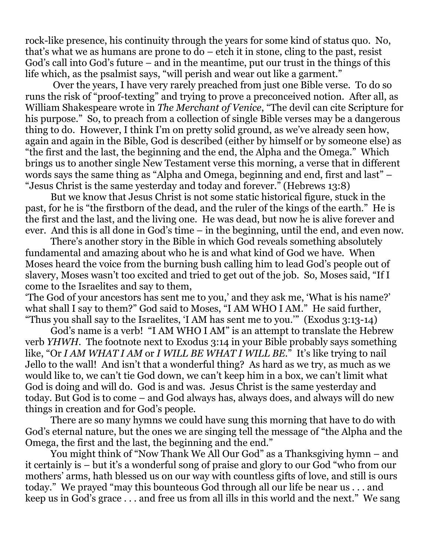rock-like presence, his continuity through the years for some kind of status quo. No, that's what we as humans are prone to do – etch it in stone, cling to the past, resist God's call into God's future – and in the meantime, put our trust in the things of this life which, as the psalmist says, "will perish and wear out like a garment."

Over the years, I have very rarely preached from just one Bible verse. To do so runs the risk of "proof-texting" and trying to prove a preconceived notion. After all, as William Shakespeare wrote in *The Merchant of Venice*, "The devil can cite Scripture for his purpose." So, to preach from a collection of single Bible verses may be a dangerous thing to do. However, I think I'm on pretty solid ground, as we've already seen how, again and again in the Bible, God is described (either by himself or by someone else) as "the first and the last, the beginning and the end, the Alpha and the Omega." Which brings us to another single New Testament verse this morning, a verse that in different words says the same thing as "Alpha and Omega, beginning and end, first and last" – "Jesus Christ is the same yesterday and today and forever." (Hebrews 13:8)

But we know that Jesus Christ is not some static historical figure, stuck in the past, for he is "the firstborn of the dead, and the ruler of the kings of the earth." He is the first and the last, and the living one. He was dead, but now he is alive forever and ever. And this is all done in God's time – in the beginning, until the end, and even now.

There's another story in the Bible in which God reveals something absolutely fundamental and amazing about who he is and what kind of God we have. When Moses heard the voice from the burning bush calling him to lead God's people out of slavery, Moses wasn't too excited and tried to get out of the job. So, Moses said, "If I come to the Israelites and say to them,

'The God of your ancestors has sent me to you,' and they ask me, 'What is his name?' what shall I say to them?" God said to Moses, "I AM WHO I AM." He said further, "Thus you shall say to the Israelites, 'I AM has sent me to you.'" (Exodus 3:13-14)

God's name is a verb! "I AM WHO I AM" is an attempt to translate the Hebrew verb *YHWH*. The footnote next to Exodus 3:14 in your Bible probably says something like, "Or *I AM WHAT I AM* or *I WILL BE WHAT I WILL BE*." It's like trying to nail Jello to the wall! And isn't that a wonderful thing? As hard as we try, as much as we would like to, we can't tie God down, we can't keep him in a box, we can't limit what God is doing and will do. God is and was. Jesus Christ is the same yesterday and today. But God is to come – and God always has, always does, and always will do new things in creation and for God's people.

There are so many hymns we could have sung this morning that have to do with God's eternal nature, but the ones we are singing tell the message of "the Alpha and the Omega, the first and the last, the beginning and the end."

You might think of "Now Thank We All Our God" as a Thanksgiving hymn – and it certainly is – but it's a wonderful song of praise and glory to our God "who from our mothers' arms, hath blessed us on our way with countless gifts of love, and still is ours today." We prayed "may this bounteous God through all our life be near us . . . and keep us in God's grace . . . and free us from all ills in this world and the next." We sang